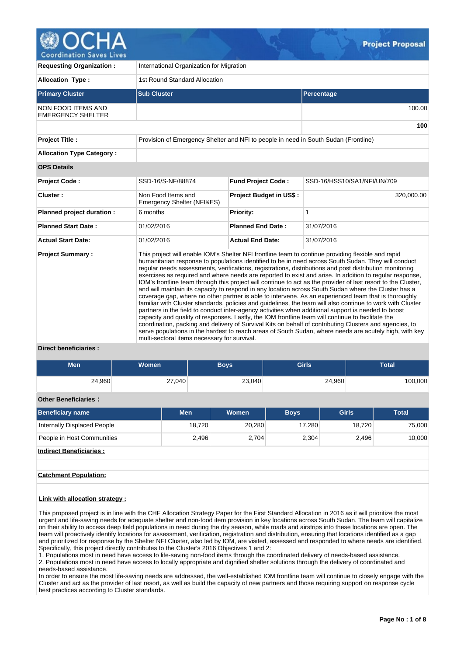| <b>Requesting Organization:</b>                       | International Organization for Migration                                            |                                                                                                                                                                                                                                                                                                                                                                                                                                                                                                                                                                                                                                                                                                                                                                                                                                                                                                                                                                                                                                                                                                                                                                                                                                                                                                                 |                             |  |  |  |  |  |  |  |
|-------------------------------------------------------|-------------------------------------------------------------------------------------|-----------------------------------------------------------------------------------------------------------------------------------------------------------------------------------------------------------------------------------------------------------------------------------------------------------------------------------------------------------------------------------------------------------------------------------------------------------------------------------------------------------------------------------------------------------------------------------------------------------------------------------------------------------------------------------------------------------------------------------------------------------------------------------------------------------------------------------------------------------------------------------------------------------------------------------------------------------------------------------------------------------------------------------------------------------------------------------------------------------------------------------------------------------------------------------------------------------------------------------------------------------------------------------------------------------------|-----------------------------|--|--|--|--|--|--|--|
| <b>Allocation Type:</b>                               | 1st Round Standard Allocation                                                       |                                                                                                                                                                                                                                                                                                                                                                                                                                                                                                                                                                                                                                                                                                                                                                                                                                                                                                                                                                                                                                                                                                                                                                                                                                                                                                                 |                             |  |  |  |  |  |  |  |
| <b>Primary Cluster</b>                                | <b>Sub Cluster</b>                                                                  |                                                                                                                                                                                                                                                                                                                                                                                                                                                                                                                                                                                                                                                                                                                                                                                                                                                                                                                                                                                                                                                                                                                                                                                                                                                                                                                 | Percentage                  |  |  |  |  |  |  |  |
| <b>NON FOOD ITEMS AND</b><br><b>EMERGENCY SHELTER</b> |                                                                                     |                                                                                                                                                                                                                                                                                                                                                                                                                                                                                                                                                                                                                                                                                                                                                                                                                                                                                                                                                                                                                                                                                                                                                                                                                                                                                                                 | 100.00                      |  |  |  |  |  |  |  |
|                                                       |                                                                                     |                                                                                                                                                                                                                                                                                                                                                                                                                                                                                                                                                                                                                                                                                                                                                                                                                                                                                                                                                                                                                                                                                                                                                                                                                                                                                                                 | 100                         |  |  |  |  |  |  |  |
| <b>Project Title:</b>                                 | Provision of Emergency Shelter and NFI to people in need in South Sudan (Frontline) |                                                                                                                                                                                                                                                                                                                                                                                                                                                                                                                                                                                                                                                                                                                                                                                                                                                                                                                                                                                                                                                                                                                                                                                                                                                                                                                 |                             |  |  |  |  |  |  |  |
| <b>Allocation Type Category:</b>                      |                                                                                     |                                                                                                                                                                                                                                                                                                                                                                                                                                                                                                                                                                                                                                                                                                                                                                                                                                                                                                                                                                                                                                                                                                                                                                                                                                                                                                                 |                             |  |  |  |  |  |  |  |
| <b>OPS Details</b>                                    |                                                                                     |                                                                                                                                                                                                                                                                                                                                                                                                                                                                                                                                                                                                                                                                                                                                                                                                                                                                                                                                                                                                                                                                                                                                                                                                                                                                                                                 |                             |  |  |  |  |  |  |  |
| Project Code:                                         | SSD-16/S-NF/88874                                                                   | <b>Fund Project Code:</b>                                                                                                                                                                                                                                                                                                                                                                                                                                                                                                                                                                                                                                                                                                                                                                                                                                                                                                                                                                                                                                                                                                                                                                                                                                                                                       | SSD-16/HSS10/SA1/NFI/UN/709 |  |  |  |  |  |  |  |
| Cluster:                                              | Non Food Items and<br>Emergency Shelter (NFI&ES)                                    | <b>Project Budget in US\$:</b>                                                                                                                                                                                                                                                                                                                                                                                                                                                                                                                                                                                                                                                                                                                                                                                                                                                                                                                                                                                                                                                                                                                                                                                                                                                                                  | 320,000.00                  |  |  |  |  |  |  |  |
| Planned project duration :                            | 6 months                                                                            | <b>Priority:</b>                                                                                                                                                                                                                                                                                                                                                                                                                                                                                                                                                                                                                                                                                                                                                                                                                                                                                                                                                                                                                                                                                                                                                                                                                                                                                                | 1                           |  |  |  |  |  |  |  |
| <b>Planned Start Date:</b>                            | 01/02/2016                                                                          | <b>Planned End Date:</b>                                                                                                                                                                                                                                                                                                                                                                                                                                                                                                                                                                                                                                                                                                                                                                                                                                                                                                                                                                                                                                                                                                                                                                                                                                                                                        | 31/07/2016                  |  |  |  |  |  |  |  |
| <b>Actual Start Date:</b>                             | 01/02/2016                                                                          | <b>Actual End Date:</b>                                                                                                                                                                                                                                                                                                                                                                                                                                                                                                                                                                                                                                                                                                                                                                                                                                                                                                                                                                                                                                                                                                                                                                                                                                                                                         | 31/07/2016                  |  |  |  |  |  |  |  |
| <b>Project Summary:</b><br>.                          | multi-sectoral items necessary for survival.                                        | This project will enable IOM's Shelter NFI frontline team to continue providing flexible and rapid<br>humanitarian response to populations identified to be in need across South Sudan. They will conduct<br>regular needs assessments, verifications, registrations, distributions and post distribution monitoring<br>exercises as required and where needs are reported to exist and arise. In addition to reqular response,<br>IOM's frontline team through this project will continue to act as the provider of last resort to the Cluster,<br>and will maintain its capacity to respond in any location across South Sudan where the Cluster has a<br>coverage gap, where no other partner is able to intervene. As an experienced team that is thoroughly<br>familiar with Cluster standards, policies and guidelines, the team will also continue to work with Cluster<br>partners in the field to conduct inter-agency activities when additional support is needed to boost<br>capacity and quality of responses. Lastly, the IOM frontline team will continue to facilitate the<br>coordination, packing and delivery of Survival Kits on behalf of contributing Clusters and agencies, to<br>serve populations in the hardest to reach areas of South Sudan, where needs are acutely high, with key |                             |  |  |  |  |  |  |  |

## **Direct beneficiaries :**

| Men    | <b>Women</b> | <b>Boys</b> | <b>Girls</b> | Total   |
|--------|--------------|-------------|--------------|---------|
| 24,960 | 27,040       | 23,040      | 24,960       | 100,000 |

## **Other Beneficiaries :**

| <b>Beneficiary name</b>        | <b>Men</b> | <b>Women</b> | <b>Boys</b> | Girls  | Total  |
|--------------------------------|------------|--------------|-------------|--------|--------|
| Internally Displaced People    | 18,720     | 20,280       | 17.280      | 18.720 | 75,000 |
| People in Host Communities     | 2,496      | 2,704        | 2,304       | 2,496  | 10,000 |
| <b>Indirect Beneficiaries:</b> |            |              |             |        |        |

# **Catchment Population:**

## **Link with allocation strategy :**

This proposed project is in line with the CHF Allocation Strategy Paper for the First Standard Allocation in 2016 as it will prioritize the most urgent and life-saving needs for adequate shelter and non-food item provision in key locations across South Sudan. The team will capitalize on their ability to access deep field populations in need during the dry season, while roads and airstrips into these locations are open. The team will proactively identify locations for assessment, verification, registration and distribution, ensuring that locations identified as a gap and prioritized for response by the Shelter NFI Cluster, also led by IOM, are visited, assessed and responded to where needs are identified. Specifically, this project directly contributes to the Cluster's 2016 Objectives 1 and 2:

1. Populations most in need have access to life-saving non-food items through the coordinated delivery of needs-based assistance. 2. Populations most in need have access to locally appropriate and dignified shelter solutions through the delivery of coordinated and needs-based assistance.

In order to ensure the most life-saving needs are addressed, the well-established IOM frontline team will continue to closely engage with the Cluster and act as the provider of last resort, as well as build the capacity of new partners and those requiring support on response cycle best practices according to Cluster standards.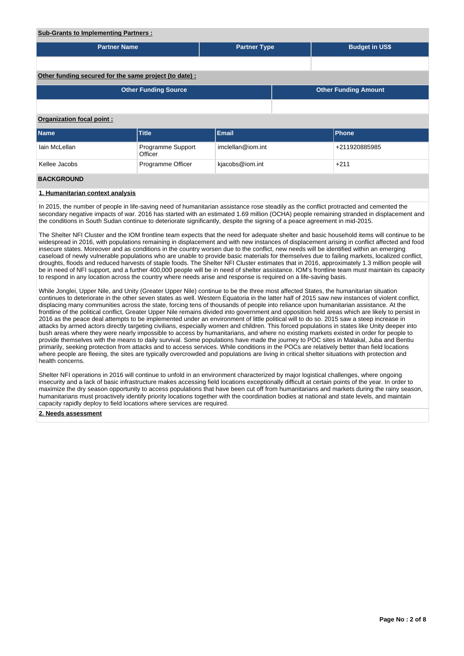### **Sub-Grants to Implementing Partners :**

| <b>Partner Name</b>                                        |                              | <b>Partner Type</b> |  | <b>Budget in US\$</b> |               |  |  |  |  |  |  |
|------------------------------------------------------------|------------------------------|---------------------|--|-----------------------|---------------|--|--|--|--|--|--|
|                                                            |                              |                     |  |                       |               |  |  |  |  |  |  |
| Other funding secured for the same project (to date):      |                              |                     |  |                       |               |  |  |  |  |  |  |
| <b>Other Funding Source</b><br><b>Other Funding Amount</b> |                              |                     |  |                       |               |  |  |  |  |  |  |
|                                                            |                              |                     |  |                       |               |  |  |  |  |  |  |
| <b>Organization focal point:</b>                           |                              |                     |  |                       |               |  |  |  |  |  |  |
| Name                                                       | Title                        | Email               |  |                       | Phone         |  |  |  |  |  |  |
| Iain McLellan                                              | Programme Support<br>Officer | imclellan@iom.int   |  |                       | +211920885985 |  |  |  |  |  |  |
| Kellee Jacobs                                              | Programme Officer            | kjacobs@iom.int     |  |                       | $+211$        |  |  |  |  |  |  |
| <b>BACKGROUND</b>                                          |                              |                     |  |                       |               |  |  |  |  |  |  |

# **1. Humanitarian context analysis**

In 2015, the number of people in life-saving need of humanitarian assistance rose steadily as the conflict protracted and cemented the secondary negative impacts of war. 2016 has started with an estimated 1.69 million (OCHA) people remaining stranded in displacement and the conditions in South Sudan continue to deteriorate significantly, despite the signing of a peace agreement in mid-2015.

The Shelter NFI Cluster and the IOM frontline team expects that the need for adequate shelter and basic household items will continue to be widespread in 2016, with populations remaining in displacement and with new instances of displacement arising in conflict affected and food insecure states. Moreover and as conditions in the country worsen due to the conflict, new needs will be identified within an emerging caseload of newly vulnerable populations who are unable to provide basic materials for themselves due to failing markets, localized conflict, droughts, floods and reduced harvests of staple foods. The Shelter NFI Cluster estimates that in 2016, approximately 1.3 million people will be in need of NFI support, and a further 400,000 people will be in need of shelter assistance. IOM's frontline team must maintain its capacity to respond in any location across the country where needs arise and response is required on a life-saving basis.

While Jonglei, Upper Nile, and Unity (Greater Upper Nile) continue to be the three most affected States, the humanitarian situation continues to deteriorate in the other seven states as well. Western Equatoria in the latter half of 2015 saw new instances of violent conflict, displacing many communities across the state, forcing tens of thousands of people into reliance upon humanitarian assistance. At the frontline of the political conflict, Greater Upper Nile remains divided into government and opposition held areas which are likely to persist in 2016 as the peace deal attempts to be implemented under an environment of little political will to do so. 2015 saw a steep increase in attacks by armed actors directly targeting civilians, especially women and children. This forced populations in states like Unity deeper into bush areas where they were nearly impossible to access by humanitarians, and where no existing markets existed in order for people to provide themselves with the means to daily survival. Some populations have made the journey to POC sites in Malakal, Juba and Bentiu primarily, seeking protection from attacks and to access services. While conditions in the POCs are relatively better than field locations where people are fleeing, the sites are typically overcrowded and populations are living in critical shelter situations with protection and health concerns.

Shelter NFI operations in 2016 will continue to unfold in an environment characterized by major logistical challenges, where ongoing insecurity and a lack of basic infrastructure makes accessing field locations exceptionally difficult at certain points of the year. In order to maximize the dry season opportunity to access populations that have been cut off from humanitarians and markets during the rainy season, humanitarians must proactively identify priority locations together with the coordination bodies at national and state levels, and maintain capacity rapidly deploy to field locations where services are required.

#### **2. Needs assessment**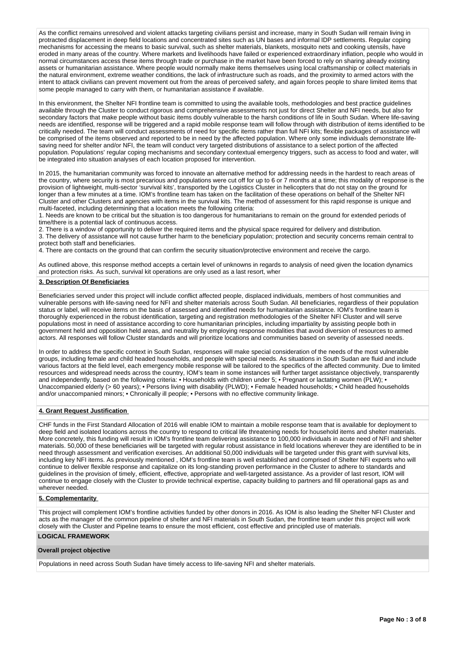As the conflict remains unresolved and violent attacks targeting civilians persist and increase, many in South Sudan will remain living in protracted displacement in deep field locations and concentrated sites such as UN bases and informal IDP settlements. Regular coping mechanisms for accessing the means to basic survival, such as shelter materials, blankets, mosquito nets and cooking utensils, have eroded in many areas of the country. Where markets and livelihoods have failed or experienced extraordinary inflation, people who would in normal circumstances access these items through trade or purchase in the market have been forced to rely on sharing already existing assets or humanitarian assistance. Where people would normally make items themselves using local craftsmanship or collect materials in the natural environment, extreme weather conditions, the lack of infrastructure such as roads, and the proximity to armed actors with the intent to attack civilians can prevent movement out from the areas of perceived safety, and again forces people to share limited items that some people managed to carry with them, or humanitarian assistance if available.

In this environment, the Shelter NFI frontline team is committed to using the available tools, methodologies and best practice guidelines available through the Cluster to conduct rigorous and comprehensive assessments not just for direct Shelter and NFI needs, but also for secondary factors that make people without basic items doubly vulnerable to the harsh conditions of life in South Sudan. Where life-saving needs are identified, response will be triggered and a rapid mobile response team will follow through with distribution of items identified to be critically needed. The team will conduct assessments of need for specific items rather than full NFI kits; flexible packages of assistance will be comprised of the items observed and reported to be in need by the affected population. Where only some individuals demonstrate lifesaving need for shelter and/or NFI, the team will conduct very targeted distributions of assistance to a select portion of the affected population. Populations' regular coping mechanisms and secondary contextual emergency triggers, such as access to food and water, will be integrated into situation analyses of each location proposed for intervention.

In 2015, the humanitarian community was forced to innovate an alternative method for addressing needs in the hardest to reach areas of the country, where security is most precarious and populations were cut off for up to 6 or 7 months at a time; this modality of response is the provision of lightweight, multi-sector 'survival kits', transported by the Logistics Cluster in helicopters that do not stay on the ground for longer than a few minutes at a time. IOM's frontline team has taken on the facilitation of these operations on behalf of the Shelter NFI Cluster and other Clusters and agencies with items in the survival kits. The method of assessment for this rapid response is unique and multi-faceted, including determining that a location meets the following criteria:

1. Needs are known to be critical but the situation is too dangerous for humanitarians to remain on the ground for extended periods of time/there is a potential lack of continuous access.

2. There is a window of opportunity to deliver the required items and the physical space required for delivery and distribution.

3. The delivery of assistance will not cause further harm to the beneficiary population; protection and security concerns remain central to protect both staff and beneficiaries.

4. There are contacts on the ground that can confirm the security situation/protective environment and receive the cargo.

As outlined above, this response method accepts a certain level of unknowns in regards to analysis of need given the location dynamics and protection risks. As such, survival kit operations are only used as a last resort, wher

## **3. Description Of Beneficiaries**

Beneficiaries served under this project will include conflict affected people, displaced individuals, members of host communities and vulnerable persons with life-saving need for NFI and shelter materials across South Sudan. All beneficiaries, regardless of their population status or label, will receive items on the basis of assessed and identified needs for humanitarian assistance. IOM's frontline team is thoroughly experienced in the robust identification, targeting and registration methodologies of the Shelter NFI Cluster and will serve populations most in need of assistance according to core humanitarian principles, including impartiality by assisting people both in government held and opposition held areas, and neutrality by employing response modalities that avoid diversion of resources to armed actors. All responses will follow Cluster standards and will prioritize locations and communities based on severity of assessed needs.

In order to address the specific context in South Sudan, responses will make special consideration of the needs of the most vulnerable groups, including female and child headed households, and people with special needs. As situations in South Sudan are fluid and include various factors at the field level, each emergency mobile response will be tailored to the specifics of the affected community. Due to limited resources and widespread needs across the country, IOM's team in some instances will further target assistance objectively, transparently and independently, based on the following criteria: • Households with children under 5; • Pregnant or lactating women (PLW); • Unaccompanied elderly (> 60 years); • Persons living with disability (PLWD); • Female headed households; • Child headed households and/or unaccompanied minors; • Chronically ill people; • Persons with no effective community linkage.

## **4. Grant Request Justification**

CHF funds in the First Standard Allocation of 2016 will enable IOM to maintain a mobile response team that is available for deployment to deep field and isolated locations across the country to respond to critical life threatening needs for household items and shelter materials. More concretely, this funding will result in IOM's frontline team delivering assistance to 100,000 individuals in acute need of NFI and shelter materials. 50,000 of these beneficiaries will be targeted with regular robust assistance in field locations wherever they are identified to be in need through assessment and verification exercises. An additional 50,000 individuals will be targeted under this grant with survival kits, including key NFI items. As previously mentioned , IOM's frontline team is well established and comprised of Shelter NFI experts who will continue to deliver flexible response and capitalize on its long-standing proven performance in the Cluster to adhere to standards and guidelines in the provision of timely, efficient, effective, appropriate and well-targeted assistance. As a provider of last resort, IOM will continue to engage closely with the Cluster to provide technical expertise, capacity building to partners and fill operational gaps as and wherever needed.

#### **5. Complementarity**

This project will complement IOM's frontline activities funded by other donors in 2016. As IOM is also leading the Shelter NFI Cluster and acts as the manager of the common pipeline of shelter and NFI materials in South Sudan, the frontline team under this project will work closely with the Cluster and Pipeline teams to ensure the most efficient, cost effective and principled use of materials.

# **LOGICAL FRAMEWORK**

## **Overall project objective**

Populations in need across South Sudan have timely access to life-saving NFI and shelter materials.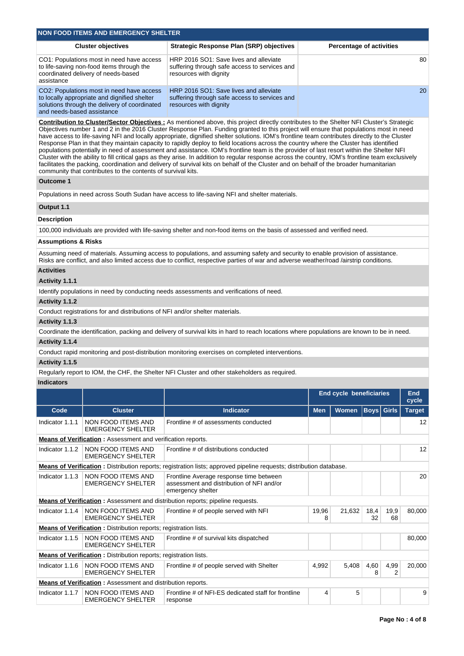|                                | <b>NON FOOD ITEMS AND EMERGENCY SHELTER</b>                                                                                                |                                                                                                                                                                                                                                                                                                                                                                                                                                                                                                                                                                                                                                                                                                                                                                                                                                                                                                                                                                                                                          |            |                                 |                   |            |                     |
|--------------------------------|--------------------------------------------------------------------------------------------------------------------------------------------|--------------------------------------------------------------------------------------------------------------------------------------------------------------------------------------------------------------------------------------------------------------------------------------------------------------------------------------------------------------------------------------------------------------------------------------------------------------------------------------------------------------------------------------------------------------------------------------------------------------------------------------------------------------------------------------------------------------------------------------------------------------------------------------------------------------------------------------------------------------------------------------------------------------------------------------------------------------------------------------------------------------------------|------------|---------------------------------|-------------------|------------|---------------------|
|                                | <b>Cluster objectives</b>                                                                                                                  | <b>Strategic Response Plan (SRP) objectives</b>                                                                                                                                                                                                                                                                                                                                                                                                                                                                                                                                                                                                                                                                                                                                                                                                                                                                                                                                                                          |            | <b>Percentage of activities</b> |                   |            |                     |
| assistance                     | CO1: Populations most in need have access<br>to life-saving non-food items through the<br>coordinated delivery of needs-based              | HRP 2016 SO1: Save lives and alleviate<br>suffering through safe access to services and<br>resources with dignity                                                                                                                                                                                                                                                                                                                                                                                                                                                                                                                                                                                                                                                                                                                                                                                                                                                                                                        |            |                                 |                   |            | 80                  |
| and needs-based assistance     | CO2: Populations most in need have access<br>to locally appropriate and dignified shelter<br>solutions through the delivery of coordinated | HRP 2016 SO1: Save lives and alleviate<br>suffering through safe access to services and<br>resources with dignity                                                                                                                                                                                                                                                                                                                                                                                                                                                                                                                                                                                                                                                                                                                                                                                                                                                                                                        |            |                                 |                   |            | 20                  |
|                                | community that contributes to the contents of survival kits.                                                                               | Contribution to Cluster/Sector Objectives : As mentioned above, this project directly contributes to the Shelter NFI Cluster's Strategic<br>Objectives number 1 and 2 in the 2016 Cluster Response Plan. Funding granted to this project will ensure that populations most in need<br>have access to life-saving NFI and locally appropriate, dignified shelter solutions. IOM's frontline team contributes directly to the Cluster<br>Response Plan in that they maintain capacity to rapidly deploy to field locations across the country where the Cluster has identified<br>populations potentially in need of assessment and assistance. IOM's frontline team is the provider of last resort within the Shelter NFI<br>Cluster with the ability to fill critical gaps as they arise. In addition to regular response across the country, IOM's frontline team exclusively<br>facilitates the packing, coordination and delivery of survival kits on behalf of the Cluster and on behalf of the broader humanitarian |            |                                 |                   |            |                     |
| <b>Outcome 1</b>               |                                                                                                                                            |                                                                                                                                                                                                                                                                                                                                                                                                                                                                                                                                                                                                                                                                                                                                                                                                                                                                                                                                                                                                                          |            |                                 |                   |            |                     |
|                                |                                                                                                                                            | Populations in need across South Sudan have access to life-saving NFI and shelter materials.                                                                                                                                                                                                                                                                                                                                                                                                                                                                                                                                                                                                                                                                                                                                                                                                                                                                                                                             |            |                                 |                   |            |                     |
| Output 1.1                     |                                                                                                                                            |                                                                                                                                                                                                                                                                                                                                                                                                                                                                                                                                                                                                                                                                                                                                                                                                                                                                                                                                                                                                                          |            |                                 |                   |            |                     |
| <b>Description</b>             |                                                                                                                                            |                                                                                                                                                                                                                                                                                                                                                                                                                                                                                                                                                                                                                                                                                                                                                                                                                                                                                                                                                                                                                          |            |                                 |                   |            |                     |
|                                |                                                                                                                                            | 100,000 individuals are provided with life-saving shelter and non-food items on the basis of assessed and verified need.                                                                                                                                                                                                                                                                                                                                                                                                                                                                                                                                                                                                                                                                                                                                                                                                                                                                                                 |            |                                 |                   |            |                     |
| <b>Assumptions &amp; Risks</b> |                                                                                                                                            |                                                                                                                                                                                                                                                                                                                                                                                                                                                                                                                                                                                                                                                                                                                                                                                                                                                                                                                                                                                                                          |            |                                 |                   |            |                     |
|                                |                                                                                                                                            | Assuming need of materials. Assuming access to populations, and assuming safety and security to enable provision of assistance.<br>Risks are conflict, and also limited access due to conflict, respective parties of war and adverse weather/road/airstrip conditions.                                                                                                                                                                                                                                                                                                                                                                                                                                                                                                                                                                                                                                                                                                                                                  |            |                                 |                   |            |                     |
| <b>Activities</b>              |                                                                                                                                            |                                                                                                                                                                                                                                                                                                                                                                                                                                                                                                                                                                                                                                                                                                                                                                                                                                                                                                                                                                                                                          |            |                                 |                   |            |                     |
| Activity 1.1.1                 |                                                                                                                                            |                                                                                                                                                                                                                                                                                                                                                                                                                                                                                                                                                                                                                                                                                                                                                                                                                                                                                                                                                                                                                          |            |                                 |                   |            |                     |
|                                |                                                                                                                                            | Identify populations in need by conducting needs assessments and verifications of need.                                                                                                                                                                                                                                                                                                                                                                                                                                                                                                                                                                                                                                                                                                                                                                                                                                                                                                                                  |            |                                 |                   |            |                     |
| Activity 1.1.2                 | Conduct registrations for and distributions of NFI and/or shelter materials.                                                               |                                                                                                                                                                                                                                                                                                                                                                                                                                                                                                                                                                                                                                                                                                                                                                                                                                                                                                                                                                                                                          |            |                                 |                   |            |                     |
| Activity 1.1.3                 |                                                                                                                                            |                                                                                                                                                                                                                                                                                                                                                                                                                                                                                                                                                                                                                                                                                                                                                                                                                                                                                                                                                                                                                          |            |                                 |                   |            |                     |
|                                |                                                                                                                                            | Coordinate the identification, packing and delivery of survival kits in hard to reach locations where populations are known to be in need.                                                                                                                                                                                                                                                                                                                                                                                                                                                                                                                                                                                                                                                                                                                                                                                                                                                                               |            |                                 |                   |            |                     |
| Activity 1.1.4                 |                                                                                                                                            |                                                                                                                                                                                                                                                                                                                                                                                                                                                                                                                                                                                                                                                                                                                                                                                                                                                                                                                                                                                                                          |            |                                 |                   |            |                     |
|                                |                                                                                                                                            | Conduct rapid monitoring and post-distribution monitoring exercises on completed interventions.                                                                                                                                                                                                                                                                                                                                                                                                                                                                                                                                                                                                                                                                                                                                                                                                                                                                                                                          |            |                                 |                   |            |                     |
| Activity 1.1.5                 |                                                                                                                                            |                                                                                                                                                                                                                                                                                                                                                                                                                                                                                                                                                                                                                                                                                                                                                                                                                                                                                                                                                                                                                          |            |                                 |                   |            |                     |
|                                |                                                                                                                                            | Regularly report to IOM, the CHF, the Shelter NFI Cluster and other stakeholders as required.                                                                                                                                                                                                                                                                                                                                                                                                                                                                                                                                                                                                                                                                                                                                                                                                                                                                                                                            |            |                                 |                   |            |                     |
| <b>Indicators</b>              |                                                                                                                                            |                                                                                                                                                                                                                                                                                                                                                                                                                                                                                                                                                                                                                                                                                                                                                                                                                                                                                                                                                                                                                          |            |                                 |                   |            |                     |
|                                |                                                                                                                                            |                                                                                                                                                                                                                                                                                                                                                                                                                                                                                                                                                                                                                                                                                                                                                                                                                                                                                                                                                                                                                          |            | <b>End cycle beneficiaries</b>  |                   |            | <b>End</b><br>cycle |
| Code                           | <b>Cluster</b>                                                                                                                             | <b>Indicator</b>                                                                                                                                                                                                                                                                                                                                                                                                                                                                                                                                                                                                                                                                                                                                                                                                                                                                                                                                                                                                         | <b>Men</b> | Women                           | <b>Boys</b> Girls |            | <b>Target</b>       |
| Indicator 1.1.1                | NON FOOD ITEMS AND<br><b>EMERGENCY SHELTER</b>                                                                                             | Frontline # of assessments conducted                                                                                                                                                                                                                                                                                                                                                                                                                                                                                                                                                                                                                                                                                                                                                                                                                                                                                                                                                                                     |            |                                 |                   |            | 12                  |
|                                | <b>Means of Verification:</b> Assessment and verification reports.                                                                         |                                                                                                                                                                                                                                                                                                                                                                                                                                                                                                                                                                                                                                                                                                                                                                                                                                                                                                                                                                                                                          |            |                                 |                   |            |                     |
| Indicator 1.1.2                | NON FOOD ITEMS AND<br><b>EMERGENCY SHELTER</b>                                                                                             | Frontline # of distributions conducted                                                                                                                                                                                                                                                                                                                                                                                                                                                                                                                                                                                                                                                                                                                                                                                                                                                                                                                                                                                   |            |                                 |                   |            | 12                  |
|                                |                                                                                                                                            | <b>Means of Verification</b> : Distribution reports; registration lists; approved pipeline requests; distribution database.                                                                                                                                                                                                                                                                                                                                                                                                                                                                                                                                                                                                                                                                                                                                                                                                                                                                                              |            |                                 |                   |            |                     |
| Indicator 1.1.3                | <b>NON FOOD ITEMS AND</b><br><b>EMERGENCY SHELTER</b>                                                                                      | Frontline Average response time between<br>assessment and distribution of NFI and/or<br>emergency shelter                                                                                                                                                                                                                                                                                                                                                                                                                                                                                                                                                                                                                                                                                                                                                                                                                                                                                                                |            |                                 |                   |            | 20                  |
|                                |                                                                                                                                            | <b>Means of Verification</b> : Assessment and distribution reports; pipeline requests.                                                                                                                                                                                                                                                                                                                                                                                                                                                                                                                                                                                                                                                                                                                                                                                                                                                                                                                                   |            |                                 |                   |            |                     |
| Indicator 1.1.4                | NON FOOD ITEMS AND<br><b>EMERGENCY SHELTER</b>                                                                                             | Frontline # of people served with NFI                                                                                                                                                                                                                                                                                                                                                                                                                                                                                                                                                                                                                                                                                                                                                                                                                                                                                                                                                                                    | 19,96<br>8 | 21,632                          | 18,4<br>32        | 19,9<br>68 | 80,000              |
|                                | <b>Means of Verification:</b> Distribution reports; registration lists.                                                                    |                                                                                                                                                                                                                                                                                                                                                                                                                                                                                                                                                                                                                                                                                                                                                                                                                                                                                                                                                                                                                          |            |                                 |                   |            |                     |
| Indicator 1.1.5                | NON FOOD ITEMS AND<br><b>EMERGENCY SHELTER</b>                                                                                             | Frontline # of survival kits dispatched                                                                                                                                                                                                                                                                                                                                                                                                                                                                                                                                                                                                                                                                                                                                                                                                                                                                                                                                                                                  |            |                                 |                   |            | 80,000              |
|                                | <b>Means of Verification:</b> Distribution reports; registration lists.                                                                    |                                                                                                                                                                                                                                                                                                                                                                                                                                                                                                                                                                                                                                                                                                                                                                                                                                                                                                                                                                                                                          |            |                                 |                   |            |                     |
| Indicator 1.1.6                | NON FOOD ITEMS AND<br><b>EMERGENCY SHELTER</b><br><b>Means of Verification:</b> Assessment and distribution reports.                       | Frontline # of people served with Shelter                                                                                                                                                                                                                                                                                                                                                                                                                                                                                                                                                                                                                                                                                                                                                                                                                                                                                                                                                                                | 4,992      | 5,408                           | 4,60<br>8         | 4,99<br>2  | 20,000              |
| Indicator 1.1.7                | NON FOOD ITEMS AND                                                                                                                         | Frontline # of NFI-ES dedicated staff for frontline                                                                                                                                                                                                                                                                                                                                                                                                                                                                                                                                                                                                                                                                                                                                                                                                                                                                                                                                                                      | 4          | 5                               |                   |            | 9                   |
|                                | <b>EMERGENCY SHELTER</b>                                                                                                                   | response                                                                                                                                                                                                                                                                                                                                                                                                                                                                                                                                                                                                                                                                                                                                                                                                                                                                                                                                                                                                                 |            |                                 |                   |            |                     |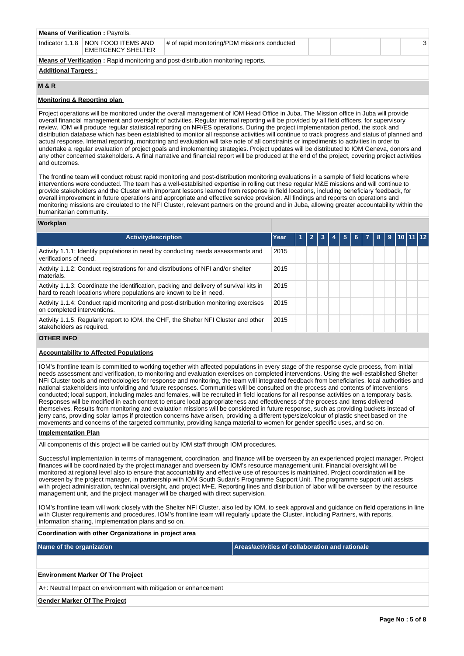| <b>Means of Verification: Payrolls.</b>                                                  |                                                  |  |  |  |  |  |  |  |  |  |
|------------------------------------------------------------------------------------------|--------------------------------------------------|--|--|--|--|--|--|--|--|--|
| Indicator 1.1.8                                                                          | I NON FOOD ITEMS AND<br><b>EMERGENCY SHELTER</b> |  |  |  |  |  |  |  |  |  |
| <b>Means of Verification:</b> Rapid monitoring and post-distribution monitoring reports. |                                                  |  |  |  |  |  |  |  |  |  |
| <b>Additional Targets:</b>                                                               |                                                  |  |  |  |  |  |  |  |  |  |

## **M & R**

## **Monitoring & Reporting plan**

Project operations will be monitored under the overall management of IOM Head Office in Juba. The Mission office in Juba will provide overall financial management and oversight of activities. Regular internal reporting will be provided by all field officers, for supervisory review. IOM will produce regular statistical reporting on NFI/ES operations. During the project implementation period, the stock and distribution database which has been established to monitor all response activities will continue to track progress and status of planned and actual response. Internal reporting, monitoring and evaluation will take note of all constraints or impediments to activities in order to undertake a regular evaluation of project goals and implementing strategies. Project updates will be distributed to IOM Geneva, donors and any other concerned stakeholders. A final narrative and financial report will be produced at the end of the project, covering project activities and outcomes.

The frontline team will conduct robust rapid monitoring and post-distribution monitoring evaluations in a sample of field locations where interventions were conducted. The team has a well-established expertise in rolling out these regular M&E missions and will continue to provide stakeholders and the Cluster with important lessons learned from response in field locations, including beneficiary feedback, for overall improvement in future operations and appropriate and effective service provision. All findings and reports on operations and monitoring missions are circulated to the NFI Cluster, relevant partners on the ground and in Juba, allowing greater accountability within the humanitarian community.

### **Workplan**

| 5. | 6 Z | $\mathbf{R}$ | 9 | $10$ 11 12 |  |
|----|-----|--------------|---|------------|--|
|    |     |              |   |            |  |
|    |     |              |   |            |  |
|    |     |              |   |            |  |
|    |     |              |   |            |  |
|    |     |              |   |            |  |
|    |     |              |   |            |  |
|    |     |              |   |            |  |

# **OTHER INFO**

# **Accountability to Affected Populations**

IOM's frontline team is committed to working together with affected populations in every stage of the response cycle process, from initial needs assessment and verification, to monitoring and evaluation exercises on completed interventions. Using the well-established Shelter NFI Cluster tools and methodologies for response and monitoring, the team will integrated feedback from beneficiaries, local authorities and national stakeholders into unfolding and future responses. Communities will be consulted on the process and contents of interventions conducted; local support, including males and females, will be recruited in field locations for all response activities on a temporary basis. Responses will be modified in each context to ensure local appropriateness and effectiveness of the process and items delivered themselves. Results from monitoring and evaluation missions will be considered in future response, such as providing buckets instead of jerry cans, providing solar lamps if protection concerns have arisen, providing a different type/size/colour of plastic sheet based on the movements and concerns of the targeted community, providing kanga material to women for gender specific uses, and so on.

#### **Implementation Plan**

All components of this project will be carried out by IOM staff through IOM procedures.

Successful implementation in terms of management, coordination, and finance will be overseen by an experienced project manager. Project finances will be coordinated by the project manager and overseen by IOM's resource management unit. Financial oversight will be monitored at regional level also to ensure that accountability and effective use of resources is maintained. Project coordination will be overseen by the project manager, in partnership with IOM South Sudan's Programme Support Unit. The programme support unit assists with project administration, technical oversight, and project M+E. Reporting lines and distribution of labor will be overseen by the resource management unit, and the project manager will be charged with direct supervision.

IOM's frontline team will work closely with the Shelter NFI Cluster, also led by IOM, to seek approval and guidance on field operations in line with Cluster requirements and procedures. IOM's frontline team will regularly update the Cluster, including Partners, with reports, information sharing, implementation plans and so on.

**Coordination with other Organizations in project area**

**Name of the organization Areas/activities of collaboration and rationale** 

#### **Environment Marker Of The Project**

A+: Neutral Impact on environment with mitigation or enhancement

**Gender Marker Of The Project**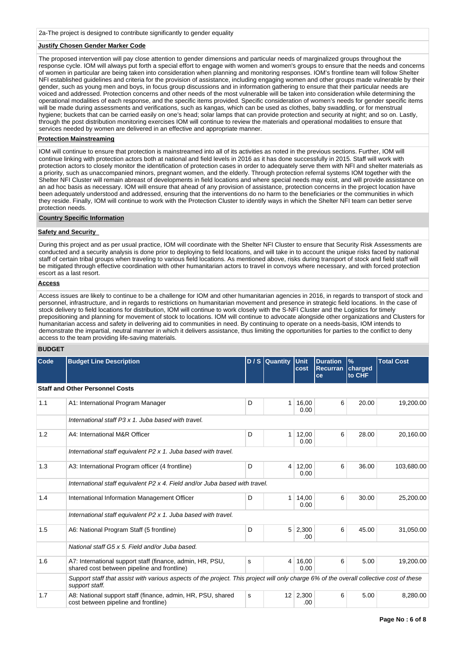# **Justify Chosen Gender Marker Code**

The proposed intervention will pay close attention to gender dimensions and particular needs of marginalized groups throughout the response cycle. IOM will always put forth a special effort to engage with women and women's groups to ensure that the needs and concerns of women in particular are being taken into consideration when planning and monitoring responses. IOM's frontline team will follow Shelter NFI established guidelines and criteria for the provision of assistance, including engaging women and other groups made vulnerable by their gender, such as young men and boys, in focus group discussions and in information gathering to ensure that their particular needs are voiced and addressed. Protection concerns and other needs of the most vulnerable will be taken into consideration while determining the operational modalities of each response, and the specific items provided. Specific consideration of women's needs for gender specific items will be made during assessments and verifications, such as kangas, which can be used as clothes, baby swaddling, or for menstrual hydiene; buckets that can be carried easily on one's head; solar lamps that can provide protection and security at night; and so on. Lastly, through the post distribution monitoring exercises IOM will continue to review the materials and operational modalities to ensure that services needed by women are delivered in an effective and appropriate manner.

## **Protection Mainstreaming**

IOM will continue to ensure that protection is mainstreamed into all of its activities as noted in the previous sections. Further, IOM will continue linking with protection actors both at national and field levels in 2016 as it has done successfully in 2015. Staff will work with protection actors to closely monitor the identification of protection cases in order to adequately serve them with NFI and shelter materials as a priority, such as unaccompanied minors, pregnant women, and the elderly. Through protection referral systems IOM together with the Shelter NFI Cluster will remain abreast of developments in field locations and where special needs may exist, and will provide assistance on an ad hoc basis as necessary. IOM will ensure that ahead of any provision of assistance, protection concerns in the project location have been adequately understood and addressed, ensuring that the interventions do no harm to the beneficiaries or the communities in which they reside. Finally, IOM will continue to work with the Protection Cluster to identify ways in which the Shelter NFI team can better serve protection needs.

#### **Country Specific Information**

## **Safety and Security**

During this project and as per usual practice, IOM will coordinate with the Shelter NFI Cluster to ensure that Security Risk Assessments are conducted and a security analysis is done prior to deploying to field locations, and will take in to account the unique risks faced by national staff of certain tribal groups when traveling to various field locations. As mentioned above, risks during transport of stock and field staff will be mitigated through effective coordination with other humanitarian actors to travel in convoys where necessary, and with forced protection escort as a last resort.

#### **Access**

Access issues are likely to continue to be a challenge for IOM and other humanitarian agencies in 2016, in regards to transport of stock and personnel, infrastructure, and in regards to restrictions on humanitarian movement and presence in strategic field locations. In the case of stock delivery to field locations for distribution, IOM will continue to work closely with the S-NFI Cluster and the Logistics for timely prepositioning and planning for movement of stock to locations. IOM will continue to advocate alongside other organizations and Clusters for humanitarian access and safety in delivering aid to communities in need. By continuing to operate on a needs-basis, IOM intends to demonstrate the impartial, neutral manner in which it delivers assistance, thus limiting the opportunities for parties to the conflict to deny access to the team providing life-saving materials.

## **BUDGET**

| <b>Code</b> | <b>Budget Line Description</b>                                                                                                                            |   | D / S Quantity Unit |                        | <b>Duration</b>               | $\frac{9}{6}$ | <b>Total Cost</b> |
|-------------|-----------------------------------------------------------------------------------------------------------------------------------------------------------|---|---------------------|------------------------|-------------------------------|---------------|-------------------|
|             |                                                                                                                                                           |   |                     | cost                   | <b>Recurran charged</b><br>ce | to CHF        |                   |
|             |                                                                                                                                                           |   |                     |                        |                               |               |                   |
|             | <b>Staff and Other Personnel Costs</b>                                                                                                                    |   |                     |                        |                               |               |                   |
| 1.1         | A1: International Program Manager                                                                                                                         | D | $\mathbf{1}$        | 16,00<br>0.00          | 6                             | 20.00         | 19,200.00         |
|             | International staff P3 x 1, Juba based with travel.                                                                                                       |   |                     |                        |                               |               |                   |
| 1.2         | A4: International M&R Officer                                                                                                                             | D | 1                   | 12,00<br>0.00          | 6                             | 28.00         | 20,160.00         |
|             | International staff equivalent P2 x 1. Juba based with travel.                                                                                            |   |                     |                        |                               |               |                   |
| 1.3         | A3: International Program officer (4 frontline)                                                                                                           | D | 4                   | 12,00<br>0.00          | 6                             | 36.00         | 103,680.00        |
|             | International staff equivalent P2 x 4. Field and/or Juba based with travel.                                                                               |   |                     |                        |                               |               |                   |
| 1.4         | International Information Management Officer                                                                                                              | D | 1                   | 14,00<br>0.00          | 6                             | 30.00         | 25,200.00         |
|             | International staff equivalent P2 x 1. Juba based with travel.                                                                                            |   |                     |                        |                               |               |                   |
| 1.5         | A6: National Program Staff (5 frontline)                                                                                                                  | D | 5                   | 2,300<br>.00           | 6                             | 45.00         | 31,050.00         |
|             | National staff G5 x 5. Field and/or Juba based.                                                                                                           |   |                     |                        |                               |               |                   |
| 1.6         | A7: International support staff (finance, admin, HR, PSU,<br>shared cost between pipeline and frontline)                                                  | s | 4                   | 16,00<br>0.00          | 6                             | 5.00          | 19,200.00         |
|             | Support staff that assist with various aspects of the project. This project will only charge 6% of the overall collective cost of these<br>support staff. |   |                     |                        |                               |               |                   |
| 1.7         | A8: National support staff (finance, admin, HR, PSU, shared<br>cost between pipeline and frontline)                                                       | s |                     | $12 \mid 2,300$<br>.00 | 6                             | 5.00          | 8,280.00          |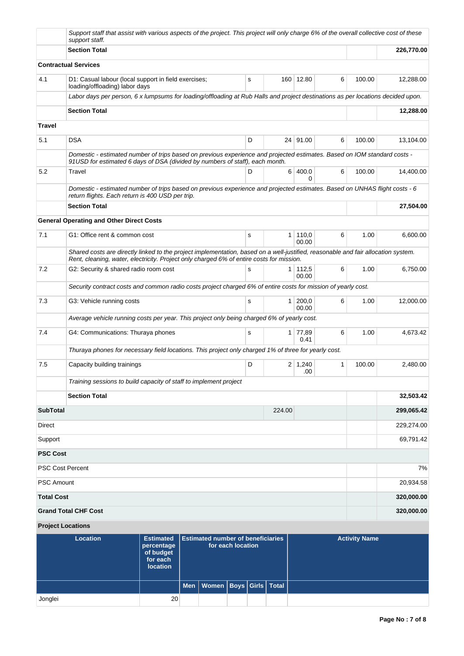|                         | Support staff that assist with various aspects of the project. This project will only charge 6% of the overall collective cost of these<br>support staff.                                                                     |                                |                                                               |   |                |                       |              |                      |            |
|-------------------------|-------------------------------------------------------------------------------------------------------------------------------------------------------------------------------------------------------------------------------|--------------------------------|---------------------------------------------------------------|---|----------------|-----------------------|--------------|----------------------|------------|
|                         | <b>Section Total</b>                                                                                                                                                                                                          |                                |                                                               |   |                |                       |              |                      | 226,770.00 |
|                         | <b>Contractual Services</b>                                                                                                                                                                                                   |                                |                                                               |   |                |                       |              |                      |            |
| 4.1                     | D1: Casual labour (local support in field exercises;<br>loading/offloading) labor days                                                                                                                                        |                                |                                                               | s |                | 160 12.80             | 6            | 100.00               | 12,288.00  |
|                         | Labor days per person, 6 x lumpsums for loading/offloading at Rub Halls and project destinations as per locations decided upon.                                                                                               |                                |                                                               |   |                |                       |              |                      |            |
|                         | <b>Section Total</b>                                                                                                                                                                                                          |                                |                                                               |   |                |                       |              |                      | 12,288.00  |
| Travel                  |                                                                                                                                                                                                                               |                                |                                                               |   |                |                       |              |                      |            |
| 5.1                     | <b>DSA</b>                                                                                                                                                                                                                    |                                |                                                               | D |                | 24 91.00              | 6            | 100.00               | 13.104.00  |
|                         | Domestic - estimated number of trips based on previous experience and projected estimates. Based on IOM standard costs -<br>91 USD for estimated 6 days of DSA (divided by numbers of staff), each month.                     |                                |                                                               |   |                |                       |              |                      |            |
| 5.2                     | Travel                                                                                                                                                                                                                        |                                |                                                               | D | 6              | 400.0<br>0            | 6            | 100.00               | 14,400.00  |
|                         | Domestic - estimated number of trips based on previous experience and projected estimates. Based on UNHAS flight costs - 6<br>return flights. Each return is 400 USD per trip.                                                |                                |                                                               |   |                |                       |              |                      |            |
|                         | <b>Section Total</b>                                                                                                                                                                                                          |                                |                                                               |   |                |                       |              |                      | 27,504.00  |
|                         | <b>General Operating and Other Direct Costs</b>                                                                                                                                                                               |                                |                                                               |   |                |                       |              |                      |            |
| 7.1                     | G1: Office rent & common cost                                                                                                                                                                                                 |                                |                                                               | s | $\mathbf{1}$   | 110,0<br>00.00        | 6            | 1.00                 | 6,600.00   |
|                         | Shared costs are directly linked to the project implementation, based on a well-justified, reasonable and fair allocation system.<br>Rent, cleaning, water, electricity. Project only charged 6% of entire costs for mission. |                                |                                                               |   |                |                       |              |                      |            |
| 7.2                     | G2: Security & shared radio room cost                                                                                                                                                                                         |                                |                                                               | s | 1 <sup>1</sup> | 112,5<br>00.00        | 6            | 1.00                 | 6,750.00   |
|                         | Security contract costs and common radio costs project charged 6% of entire costs for mission of yearly cost.                                                                                                                 |                                |                                                               |   |                |                       |              |                      |            |
| 7.3                     | G3: Vehicle running costs                                                                                                                                                                                                     |                                |                                                               | s | $\mathbf{1}$   | 200,0<br>00.00        | 6            | 1.00                 | 12,000.00  |
|                         | Average vehicle running costs per year. This project only being charged 6% of yearly cost.                                                                                                                                    |                                |                                                               |   |                |                       |              |                      |            |
| 7.4                     | G4: Communications: Thuraya phones                                                                                                                                                                                            |                                |                                                               | s | 1 <sup>1</sup> | 77,89<br>0.41         | 6            | 1.00                 | 4,673.42   |
|                         | Thuraya phones for necessary field locations. This project only charged 1% of three for yearly cost.                                                                                                                          |                                |                                                               |   |                |                       |              |                      |            |
| 7.5                     | Capacity building trainings                                                                                                                                                                                                   |                                |                                                               | D |                | $2 \mid 1,240$<br>.00 | $\mathbf{1}$ | 100.00               | 2,480.00   |
|                         | Training sessions to build capacity of staff to implement project                                                                                                                                                             |                                |                                                               |   |                |                       |              |                      |            |
|                         | <b>Section Total</b>                                                                                                                                                                                                          |                                |                                                               |   |                |                       |              |                      | 32,503.42  |
| <b>SubTotal</b>         |                                                                                                                                                                                                                               |                                |                                                               |   | 224.00         |                       |              |                      | 299,065.42 |
| Direct                  |                                                                                                                                                                                                                               |                                |                                                               |   |                |                       |              |                      | 229,274.00 |
| Support                 |                                                                                                                                                                                                                               |                                |                                                               |   |                |                       |              |                      | 69,791.42  |
| <b>PSC Cost</b>         |                                                                                                                                                                                                                               |                                |                                                               |   |                |                       |              |                      |            |
| <b>PSC Cost Percent</b> |                                                                                                                                                                                                                               |                                |                                                               |   |                |                       |              |                      | 7%         |
| <b>PSC Amount</b>       |                                                                                                                                                                                                                               |                                |                                                               |   |                |                       |              |                      | 20,934.58  |
| <b>Total Cost</b>       |                                                                                                                                                                                                                               |                                |                                                               |   |                |                       |              |                      | 320,000.00 |
|                         | <b>Grand Total CHF Cost</b>                                                                                                                                                                                                   |                                |                                                               |   |                |                       |              |                      | 320,000.00 |
|                         | <b>Project Locations</b>                                                                                                                                                                                                      |                                |                                                               |   |                |                       |              |                      |            |
|                         | <b>Location</b>                                                                                                                                                                                                               | <b>Estimated</b><br>percentage | <b>Estimated number of beneficiaries</b><br>for each location |   |                |                       |              | <b>Activity Name</b> |            |

| Location | Estimated   Estimated number of beneficiaries<br>percentage<br>of budget<br>for each<br>location |                                    | for each location |  | <b>Activity Name</b> |
|----------|--------------------------------------------------------------------------------------------------|------------------------------------|-------------------|--|----------------------|
|          |                                                                                                  | Men   Women   Boys   Girls   Total |                   |  |                      |
| Jonglei  | 20                                                                                               |                                    |                   |  |                      |